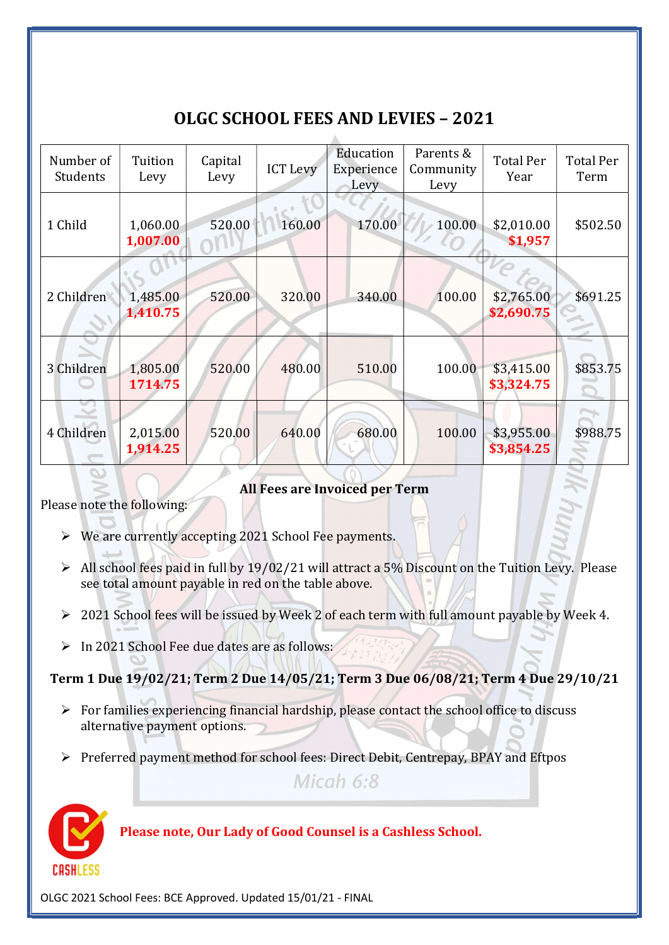## OLGC SCHOOL FEES AND LEVIES – 2021

| Number of<br>Students | Tuition<br>Levy      | Capital<br>Levy | <b>ICT Levy</b> | Education<br>Experience<br>Levy | Parents &<br>Community<br>Levy | <b>Total Per</b><br>Year | <b>Total Per</b><br>Term |
|-----------------------|----------------------|-----------------|-----------------|---------------------------------|--------------------------------|--------------------------|--------------------------|
| 1 Child               | 1,060.00<br>1,007.00 | 520.00          | 160.00          | 170.00                          | 100.00                         | \$2,010.00<br>\$1,957    | \$502.50                 |
| 2 Children            | 1,485.00<br>1,410.75 | 520.00          | 320.00          | 340.00                          | 100.00                         | \$2,765.00<br>\$2,690.75 | \$691.25                 |
| 3 Children            | 1,805.00<br>1714.75  | 520.00          | 480.00          | 510.00                          | 100.00                         | \$3,415.00<br>\$3,324.75 | \$853.75                 |
| 4 Children            | 2,015.00<br>1,914.25 | 520.00          | 640.00          | 680.00                          | 100.00                         | \$3,955.00<br>\$3,854.25 | \$988.75                 |

## All Fees are Invoiced per Term

Please note the following:

- $\triangleright$  We are currently accepting 2021 School Fee payments.
- $\triangleright$  All school fees paid in full by 19/02/21 will attract a 5% Discount on the Tuition Levy. Please see total amount payable in red on the table above.
- ▶ 2021 School fees will be issued by Week 2 of each term with full amount payable by Week 4.
- $\triangleright$  In 2021 School Fee due dates are as follows:

Term 1 Due 19/02/21; Term 2 Due 14/05/21; Term 3 Due 06/08/21; Term 4 Due 29/10/21

- $\triangleright$  For families experiencing financial hardship, please contact the school office to discuss alternative payment options.
- Preferred payment method for school fees: Direct Debit, Centrepay, BPAY and Eftpos

Micah  $6:8$ 



Please note, Our Lady of Good Counsel is a Cashless School.

OLGC 2021 School Fees: BCE Approved. Updated 15/01/21 - FINAL